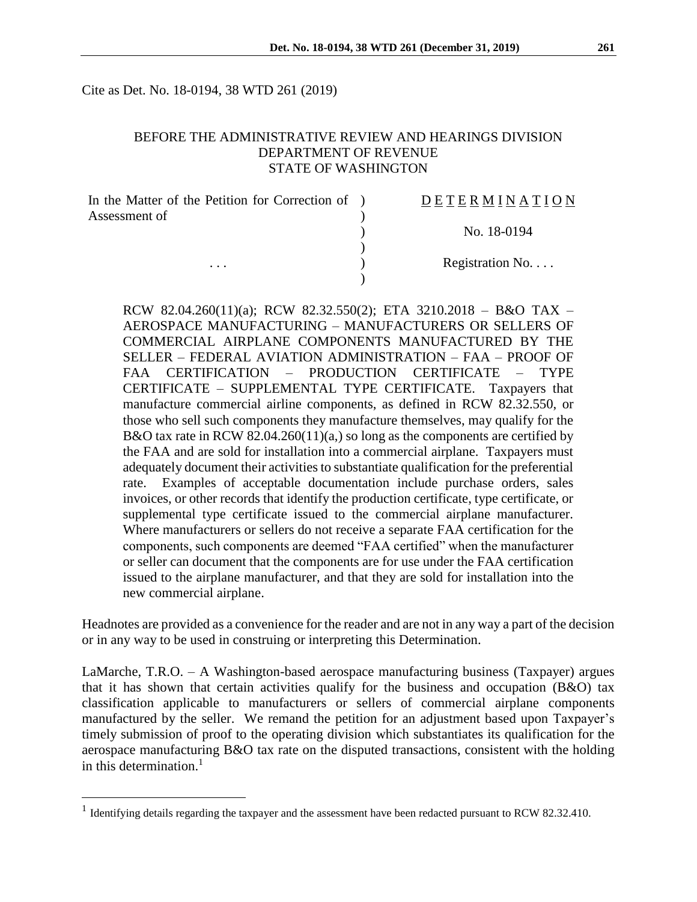Cite as Det. No. 18-0194, 38 WTD 261 (2019)

## BEFORE THE ADMINISTRATIVE REVIEW AND HEARINGS DIVISION DEPARTMENT OF REVENUE STATE OF WASHINGTON

| In the Matter of the Petition for Correction of ) | <b>DETERMINATION</b>     |
|---------------------------------------------------|--------------------------|
| Assessment of<br>$\cdots$                         |                          |
|                                                   | No. 18-0194              |
|                                                   |                          |
|                                                   | Registration No. $\dots$ |
|                                                   |                          |

RCW 82.04.260(11)(a); RCW 82.32.550(2); ETA 3210.2018 – B&O TAX – AEROSPACE MANUFACTURING – MANUFACTURERS OR SELLERS OF COMMERCIAL AIRPLANE COMPONENTS MANUFACTURED BY THE SELLER – FEDERAL AVIATION ADMINISTRATION – FAA – PROOF OF FAA CERTIFICATION – PRODUCTION CERTIFICATE – TYPE CERTIFICATE – SUPPLEMENTAL TYPE CERTIFICATE. Taxpayers that manufacture commercial airline components, as defined in RCW 82.32.550, or those who sell such components they manufacture themselves, may qualify for the B&O tax rate in RCW 82.04.260(11)(a,) so long as the components are certified by the FAA and are sold for installation into a commercial airplane. Taxpayers must adequately document their activities to substantiate qualification for the preferential rate. Examples of acceptable documentation include purchase orders, sales invoices, or other records that identify the production certificate, type certificate, or supplemental type certificate issued to the commercial airplane manufacturer. Where manufacturers or sellers do not receive a separate FAA certification for the components, such components are deemed "FAA certified" when the manufacturer or seller can document that the components are for use under the FAA certification issued to the airplane manufacturer, and that they are sold for installation into the new commercial airplane.

Headnotes are provided as a convenience for the reader and are not in any way a part of the decision or in any way to be used in construing or interpreting this Determination.

LaMarche, T.R.O. – A Washington-based aerospace manufacturing business (Taxpayer) argues that it has shown that certain activities qualify for the business and occupation (B&O) tax classification applicable to manufacturers or sellers of commercial airplane components manufactured by the seller. We remand the petition for an adjustment based upon Taxpayer's timely submission of proof to the operating division which substantiates its qualification for the aerospace manufacturing B&O tax rate on the disputed transactions, consistent with the holding in this determination. 1

<sup>&</sup>lt;sup>1</sup> Identifying details regarding the taxpayer and the assessment have been redacted pursuant to RCW 82.32.410.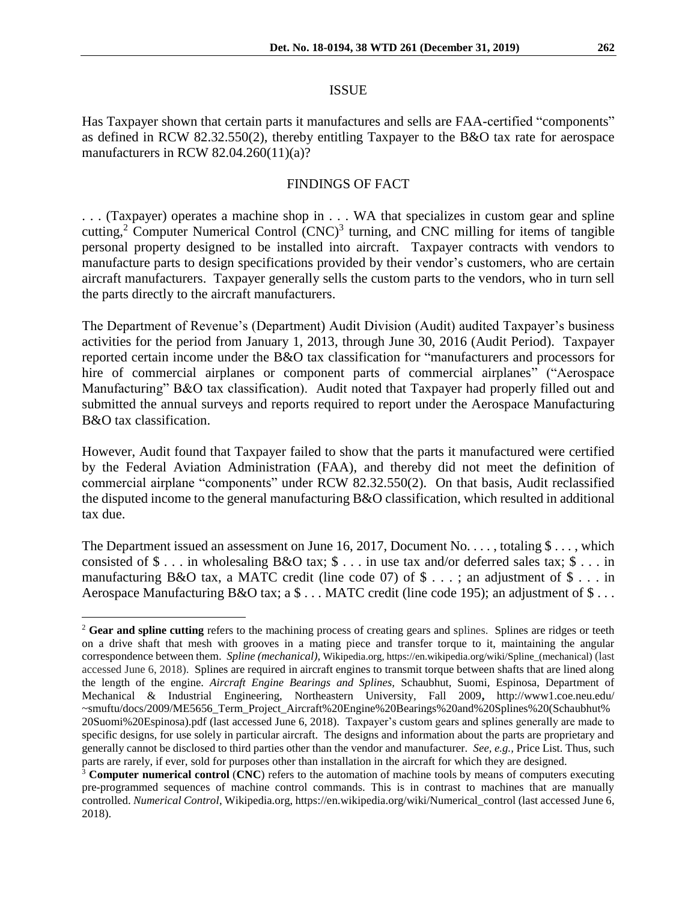Has Taxpayer shown that certain parts it manufactures and sells are FAA-certified "components" as defined in RCW 82.32.550(2), thereby entitling Taxpayer to the B&O tax rate for aerospace manufacturers in RCW 82.04.260(11)(a)?

#### FINDINGS OF FACT

. . . (Taxpayer) operates a machine shop in . . . WA that specializes in custom gear and spline cutting,<sup>2</sup> Computer Numerical Control  $(CNC)^3$  turning, and CNC milling for items of tangible personal property designed to be installed into aircraft. Taxpayer contracts with vendors to manufacture parts to design specifications provided by their vendor's customers, who are certain aircraft manufacturers. Taxpayer generally sells the custom parts to the vendors, who in turn sell the parts directly to the aircraft manufacturers.

The Department of Revenue's (Department) Audit Division (Audit) audited Taxpayer's business activities for the period from January 1, 2013, through June 30, 2016 (Audit Period). Taxpayer reported certain income under the B&O tax classification for "manufacturers and processors for hire of commercial airplanes or component parts of commercial airplanes" ("Aerospace Manufacturing" B&O tax classification). Audit noted that Taxpayer had properly filled out and submitted the annual surveys and reports required to report under the Aerospace Manufacturing B&O tax classification.

However, Audit found that Taxpayer failed to show that the parts it manufactured were certified by the Federal Aviation Administration (FAA), and thereby did not meet the definition of commercial airplane "components" under RCW 82.32.550(2). On that basis, Audit reclassified the disputed income to the general manufacturing B&O classification, which resulted in additional tax due.

The Department issued an assessment on June 16, 2017, Document No. . . . , totaling  $\$\dots$ , which consisted of \$ . . . in wholesaling B&O tax; \$ . . . in use tax and/or deferred sales tax; \$ . . . in manufacturing B&O tax, a MATC credit (line code 07) of  $\$\dots$ ; an adjustment of  $\$\dots$  in Aerospace Manufacturing B&O tax; a \$ . . . MATC credit (line code 195); an adjustment of \$ . . .

<sup>&</sup>lt;sup>2</sup> Gear and spline cutting refers to the machining process of creating gears and splines. Splines are ridges or teeth on a drive shaft that mesh with grooves in a mating piece and transfer torque to it, maintaining the angular correspondence between them. *Spline (mechanical),* Wikipedia.org, https://en.wikipedia.org/wiki/Spline\_(mechanical) (last accessed June 6, 2018). Splines are required in aircraft engines to transmit torque between shafts that are lined along the length of the engine. *Aircraft Engine Bearings and Splines,* Schaubhut, Suomi, Espinosa, Department of Mechanical & Industrial Engineering, Northeastern University, Fall 2009**,** http://www1.coe.neu.edu/ ~smuftu/docs/2009/ME5656\_Term\_Project\_Aircraft%20Engine%20Bearings%20and%20Splines%20(Schaubhut% 20Suomi%20Espinosa).pdf (last accessed June 6, 2018). Taxpayer's custom gears and splines generally are made to specific designs, for use solely in particular aircraft. The designs and information about the parts are proprietary and generally cannot be disclosed to third parties other than the vendor and manufacturer. *See, e.g.,* Price List. Thus, such parts are rarely, if ever, sold for purposes other than installation in the aircraft for which they are designed.

<sup>&</sup>lt;sup>3</sup> **Computer numerical control** (CNC) refers to the [automation](https://en.wikipedia.org/wiki/Automation) of [machine tools](https://en.wikipedia.org/wiki/Machine_tool) by means of computers executing pre-programmed sequences of machine control commands. This is in contrast to machines that are manually controlled. *Numerical Control*, Wikipedia.org, https://en.wikipedia.org/wiki/Numerical\_control (last accessed June 6, 2018).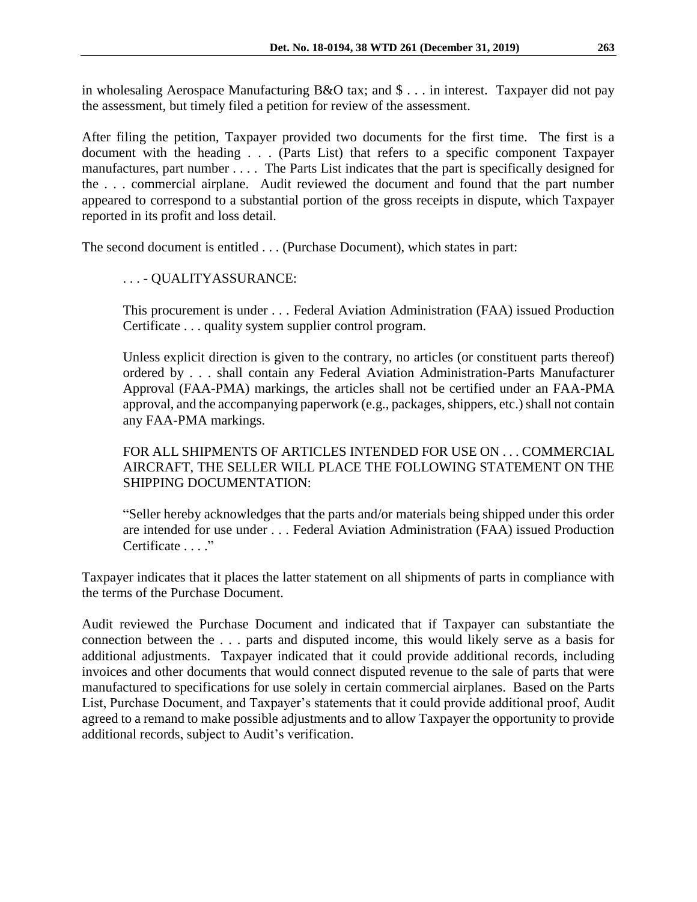in wholesaling Aerospace Manufacturing B&O tax; and \$ . . . in interest. Taxpayer did not pay the assessment, but timely filed a petition for review of the assessment.

After filing the petition, Taxpayer provided two documents for the first time. The first is a document with the heading . . . (Parts List) that refers to a specific component Taxpayer manufactures, part number . . . . The Parts List indicates that the part is specifically designed for the . . . commercial airplane. Audit reviewed the document and found that the part number appeared to correspond to a substantial portion of the gross receipts in dispute, which Taxpayer reported in its profit and loss detail.

The second document is entitled . . . (Purchase Document), which states in part:

# . . . - QUALITYASSURANCE:

This procurement is under . . . Federal Aviation Administration (FAA) issued Production Certificate . . . quality system supplier control program.

Unless explicit direction is given to the contrary, no articles (or constituent parts thereof) ordered by . . . shall contain any Federal Aviation Administration-Parts Manufacturer Approval (FAA-PMA) markings, the articles shall not be certified under an FAA-PMA approval, and the accompanying paperwork (e.g., packages, shippers, etc.) shall not contain any FAA-PMA markings.

FOR ALL SHIPMENTS OF ARTICLES INTENDED FOR USE ON . . . COMMERCIAL AIRCRAFT, THE SELLER WILL PLACE THE FOLLOWING STATEMENT ON THE SHIPPING DOCUMENTATION:

"Seller hereby acknowledges that the parts and/or materials being shipped under this order are intended for use under . . . Federal Aviation Administration (FAA) issued Production Certificate . . . ."

Taxpayer indicates that it places the latter statement on all shipments of parts in compliance with the terms of the Purchase Document.

Audit reviewed the Purchase Document and indicated that if Taxpayer can substantiate the connection between the . . . parts and disputed income, this would likely serve as a basis for additional adjustments. Taxpayer indicated that it could provide additional records, including invoices and other documents that would connect disputed revenue to the sale of parts that were manufactured to specifications for use solely in certain commercial airplanes. Based on the Parts List, Purchase Document, and Taxpayer's statements that it could provide additional proof, Audit agreed to a remand to make possible adjustments and to allow Taxpayer the opportunity to provide additional records, subject to Audit's verification.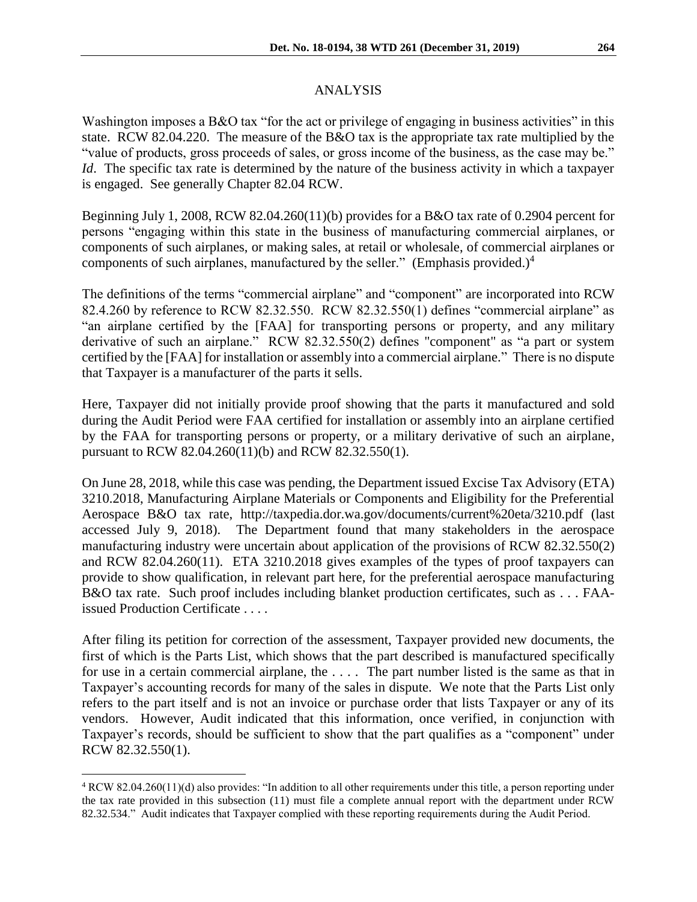## ANALYSIS

Washington imposes a B&O tax "for the act or privilege of engaging in business activities" in this state. RCW 82.04.220. The measure of the B&O tax is the appropriate tax rate multiplied by the "value of products, gross proceeds of sales, or gross income of the business, as the case may be." *Id*. The specific tax rate is determined by the nature of the business activity in which a taxpayer is engaged. See generally Chapter 82.04 RCW.

Beginning July 1, 2008, RCW 82.04.260(11)(b) provides for a B&O tax rate of 0.2904 percent for persons "engaging within this state in the business of manufacturing commercial airplanes, or components of such airplanes, or making sales, at retail or wholesale, of commercial airplanes or components of such airplanes, manufactured by the seller." (Emphasis provided.) $4$ 

The definitions of the terms "commercial airplane" and "component" are incorporated into RCW 82.4.260 by reference to RCW 82.32.550. RCW 82.32.550(1) defines "commercial airplane" as "an airplane certified by the [FAA] for transporting persons or property, and any military derivative of such an airplane." RCW 82.32.550(2) defines "component" as "a part or system certified by the [FAA] for installation or assembly into a commercial airplane." There is no dispute that Taxpayer is a manufacturer of the parts it sells.

Here, Taxpayer did not initially provide proof showing that the parts it manufactured and sold during the Audit Period were FAA certified for installation or assembly into an airplane certified by the FAA for transporting persons or property, or a military derivative of such an airplane, pursuant to RCW 82.04.260(11)(b) and RCW 82.32.550(1).

On June 28, 2018, while this case was pending, the Department issued Excise Tax Advisory (ETA) 3210.2018, Manufacturing Airplane Materials or Components and Eligibility for the Preferential Aerospace B&O tax rate, http://taxpedia.dor.wa.gov/documents/current%20eta/3210.pdf (last accessed July 9, 2018). The Department found that many stakeholders in the aerospace manufacturing industry were uncertain about application of the provisions of RCW 82.32.550(2) and RCW 82.04.260(11). ETA 3210.2018 gives examples of the types of proof taxpayers can provide to show qualification, in relevant part here, for the preferential aerospace manufacturing B&O tax rate. Such proof includes including blanket production certificates, such as . . . FAAissued Production Certificate . . . .

After filing its petition for correction of the assessment, Taxpayer provided new documents, the first of which is the Parts List, which shows that the part described is manufactured specifically for use in a certain commercial airplane, the . . . . The part number listed is the same as that in Taxpayer's accounting records for many of the sales in dispute. We note that the Parts List only refers to the part itself and is not an invoice or purchase order that lists Taxpayer or any of its vendors. However, Audit indicated that this information, once verified, in conjunction with Taxpayer's records, should be sufficient to show that the part qualifies as a "component" under RCW 82.32.550(1).

<sup>4</sup> RCW 82.04.260(11)(d) also provides: "In addition to all other requirements under this title, a person reporting under the tax rate provided in this subsection (11) must file a complete annual report with the department under RCW 82.32.534." Audit indicates that Taxpayer complied with these reporting requirements during the Audit Period.